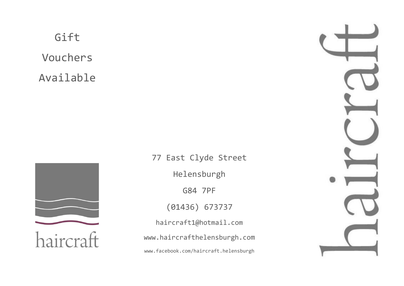# Gift

Vouchers

Available



77 East Clyde Street Helensburgh G84 7PF (01436) 673737 [haircraft1@hotmail.com](mailto:haircraft1@hotmail.com) www.haircrafthelensburgh.com www.facebook.com/haircraft.helensburgh